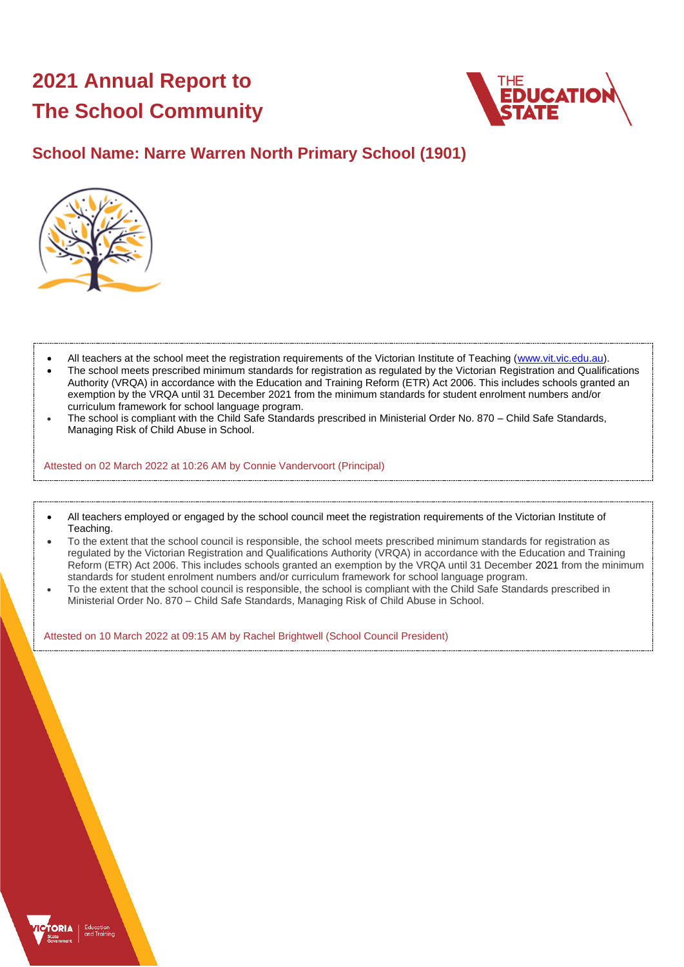# **2021 Annual Report to The School Community**



## **School Name: Narre Warren North Primary School (1901)**



- All teachers at the school meet the registration requirements of the Victorian Institute of Teaching [\(www.vit.vic.edu.au\)](https://www.vit.vic.edu.au/).
- The school meets prescribed minimum standards for registration as regulated by the Victorian Registration and Qualifications Authority (VRQA) in accordance with the Education and Training Reform (ETR) Act 2006. This includes schools granted an exemption by the VRQA until 31 December 2021 from the minimum standards for student enrolment numbers and/or curriculum framework for school language program.
- The school is compliant with the Child Safe Standards prescribed in Ministerial Order No. 870 Child Safe Standards, Managing Risk of Child Abuse in School.

Attested on 02 March 2022 at 10:26 AM by Connie Vandervoort (Principal)

- All teachers employed or engaged by the school council meet the registration requirements of the Victorian Institute of Teaching.
- To the extent that the school council is responsible, the school meets prescribed minimum standards for registration as regulated by the Victorian Registration and Qualifications Authority (VRQA) in accordance with the Education and Training Reform (ETR) Act 2006. This includes schools granted an exemption by the VRQA until 31 December 2021 from the minimum standards for student enrolment numbers and/or curriculum framework for school language program.
- To the extent that the school council is responsible, the school is compliant with the Child Safe Standards prescribed in Ministerial Order No. 870 – Child Safe Standards, Managing Risk of Child Abuse in School.

Attested on 10 March 2022 at 09:15 AM by Rachel Brightwell (School Council President)

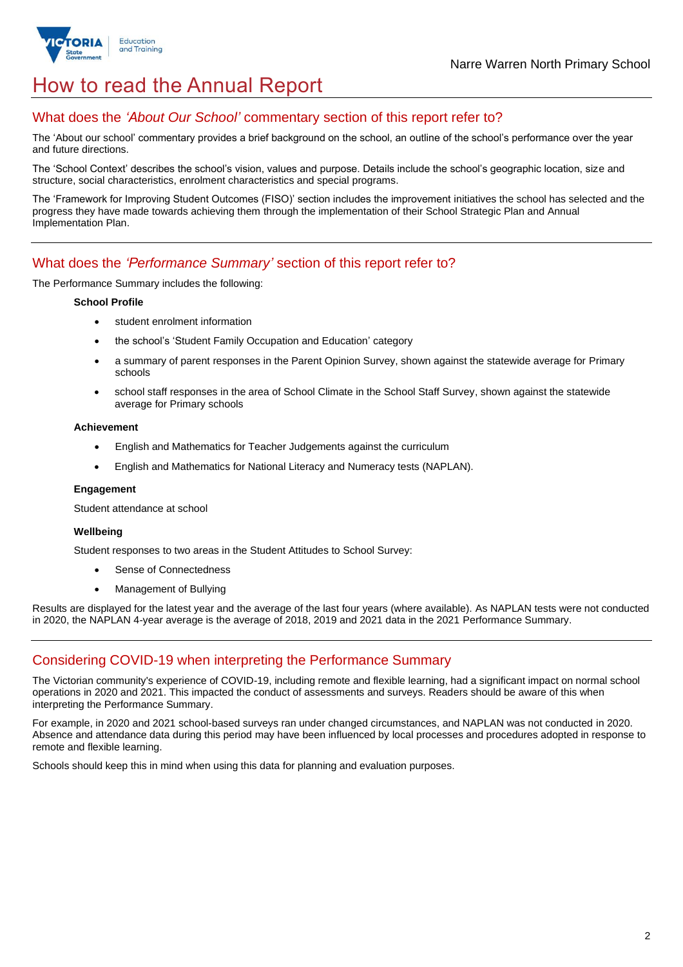

# How to read the Annual Report

## What does the *'About Our School'* commentary section of this report refer to?

The 'About our school' commentary provides a brief background on the school, an outline of the school's performance over the year and future directions.

The 'School Context' describes the school's vision, values and purpose. Details include the school's geographic location, size and structure, social characteristics, enrolment characteristics and special programs.

The 'Framework for Improving Student Outcomes (FISO)' section includes the improvement initiatives the school has selected and the progress they have made towards achieving them through the implementation of their School Strategic Plan and Annual Implementation Plan.

### What does the *'Performance Summary'* section of this report refer to?

The Performance Summary includes the following:

#### **School Profile**

- student enrolment information
- the school's 'Student Family Occupation and Education' category
- a summary of parent responses in the Parent Opinion Survey, shown against the statewide average for Primary schools
- school staff responses in the area of School Climate in the School Staff Survey, shown against the statewide average for Primary schools

#### **Achievement**

- English and Mathematics for Teacher Judgements against the curriculum
- English and Mathematics for National Literacy and Numeracy tests (NAPLAN).

#### **Engagement**

Student attendance at school

#### **Wellbeing**

Student responses to two areas in the Student Attitudes to School Survey:

- Sense of Connectedness
- Management of Bullying

Results are displayed for the latest year and the average of the last four years (where available). As NAPLAN tests were not conducted in 2020, the NAPLAN 4-year average is the average of 2018, 2019 and 2021 data in the 2021 Performance Summary.

## Considering COVID-19 when interpreting the Performance Summary

The Victorian community's experience of COVID-19, including remote and flexible learning, had a significant impact on normal school operations in 2020 and 2021. This impacted the conduct of assessments and surveys. Readers should be aware of this when interpreting the Performance Summary.

For example, in 2020 and 2021 school-based surveys ran under changed circumstances, and NAPLAN was not conducted in 2020. Absence and attendance data during this period may have been influenced by local processes and procedures adopted in response to remote and flexible learning.

Schools should keep this in mind when using this data for planning and evaluation purposes.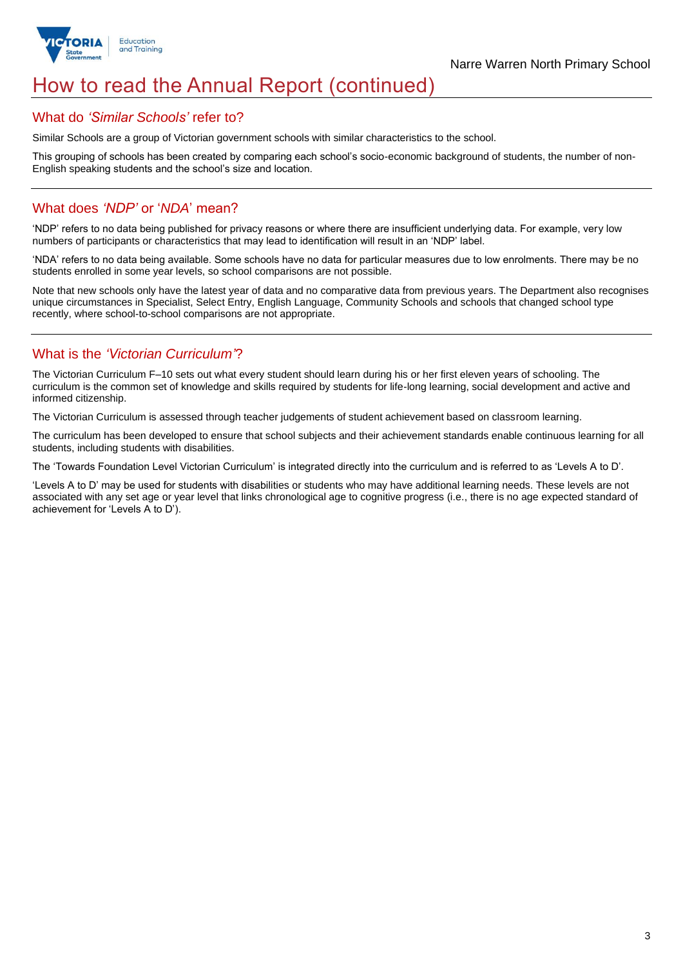

## How to read the Annual Report (continued)

#### What do *'Similar Schools'* refer to?

Similar Schools are a group of Victorian government schools with similar characteristics to the school.

This grouping of schools has been created by comparing each school's socio-economic background of students, the number of non-English speaking students and the school's size and location.

## What does *'NDP'* or '*NDA*' mean?

'NDP' refers to no data being published for privacy reasons or where there are insufficient underlying data. For example, very low numbers of participants or characteristics that may lead to identification will result in an 'NDP' label.

'NDA' refers to no data being available. Some schools have no data for particular measures due to low enrolments. There may be no students enrolled in some year levels, so school comparisons are not possible.

Note that new schools only have the latest year of data and no comparative data from previous years. The Department also recognises unique circumstances in Specialist, Select Entry, English Language, Community Schools and schools that changed school type recently, where school-to-school comparisons are not appropriate.

## What is the *'Victorian Curriculum'*?

The Victorian Curriculum F–10 sets out what every student should learn during his or her first eleven years of schooling. The curriculum is the common set of knowledge and skills required by students for life-long learning, social development and active and informed citizenship.

The Victorian Curriculum is assessed through teacher judgements of student achievement based on classroom learning.

The curriculum has been developed to ensure that school subjects and their achievement standards enable continuous learning for all students, including students with disabilities.

The 'Towards Foundation Level Victorian Curriculum' is integrated directly into the curriculum and is referred to as 'Levels A to D'.

'Levels A to D' may be used for students with disabilities or students who may have additional learning needs. These levels are not associated with any set age or year level that links chronological age to cognitive progress (i.e., there is no age expected standard of achievement for 'Levels A to D').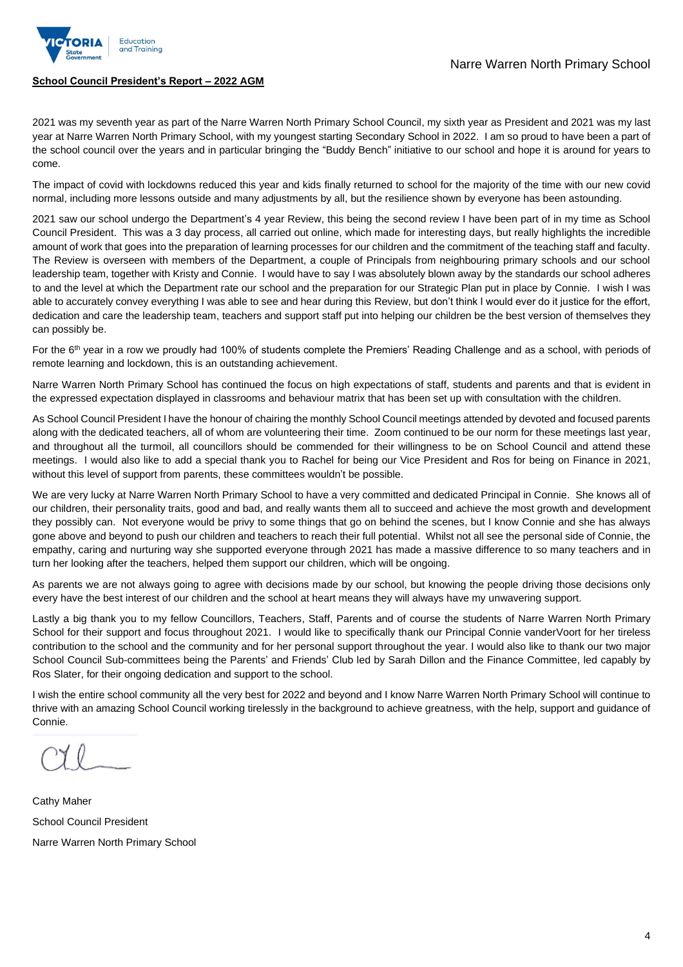

#### **School Council President's Report – 2022 AGM**

2021 was my seventh year as part of the Narre Warren North Primary School Council, my sixth year as President and 2021 was my last year at Narre Warren North Primary School, with my youngest starting Secondary School in 2022. I am so proud to have been a part of the school council over the years and in particular bringing the "Buddy Bench" initiative to our school and hope it is around for years to come.

The impact of covid with lockdowns reduced this year and kids finally returned to school for the majority of the time with our new covid normal, including more lessons outside and many adjustments by all, but the resilience shown by everyone has been astounding.

2021 saw our school undergo the Department's 4 year Review, this being the second review I have been part of in my time as School Council President. This was a 3 day process, all carried out online, which made for interesting days, but really highlights the incredible amount of work that goes into the preparation of learning processes for our children and the commitment of the teaching staff and faculty. The Review is overseen with members of the Department, a couple of Principals from neighbouring primary schools and our school leadership team, together with Kristy and Connie. I would have to say I was absolutely blown away by the standards our school adheres to and the level at which the Department rate our school and the preparation for our Strategic Plan put in place by Connie. I wish I was able to accurately convey everything I was able to see and hear during this Review, but don't think I would ever do it justice for the effort, dedication and care the leadership team, teachers and support staff put into helping our children be the best version of themselves they can possibly be.

For the 6<sup>th</sup> year in a row we proudly had 100% of students complete the Premiers' Reading Challenge and as a school, with periods of remote learning and lockdown, this is an outstanding achievement.

Narre Warren North Primary School has continued the focus on high expectations of staff, students and parents and that is evident in the expressed expectation displayed in classrooms and behaviour matrix that has been set up with consultation with the children.

As School Council President I have the honour of chairing the monthly School Council meetings attended by devoted and focused parents along with the dedicated teachers, all of whom are volunteering their time. Zoom continued to be our norm for these meetings last year, and throughout all the turmoil, all councillors should be commended for their willingness to be on School Council and attend these meetings. I would also like to add a special thank you to Rachel for being our Vice President and Ros for being on Finance in 2021, without this level of support from parents, these committees wouldn't be possible.

We are very lucky at Narre Warren North Primary School to have a very committed and dedicated Principal in Connie. She knows all of our children, their personality traits, good and bad, and really wants them all to succeed and achieve the most growth and development they possibly can. Not everyone would be privy to some things that go on behind the scenes, but I know Connie and she has always gone above and beyond to push our children and teachers to reach their full potential. Whilst not all see the personal side of Connie, the empathy, caring and nurturing way she supported everyone through 2021 has made a massive difference to so many teachers and in turn her looking after the teachers, helped them support our children, which will be ongoing.

As parents we are not always going to agree with decisions made by our school, but knowing the people driving those decisions only every have the best interest of our children and the school at heart means they will always have my unwavering support.

Lastly a big thank you to my fellow Councillors, Teachers, Staff, Parents and of course the students of Narre Warren North Primary School for their support and focus throughout 2021. I would like to specifically thank our Principal Connie vanderVoort for her tireless contribution to the school and the community and for her personal support throughout the year. I would also like to thank our two major School Council Sub-committees being the Parents' and Friends' Club led by Sarah Dillon and the Finance Committee, led capably by Ros Slater, for their ongoing dedication and support to the school.

I wish the entire school community all the very best for 2022 and beyond and I know Narre Warren North Primary School will continue to thrive with an amazing School Council working tirelessly in the background to achieve greatness, with the help, support and guidance of Connie.

Cathy Maher School Council President Narre Warren North Primary School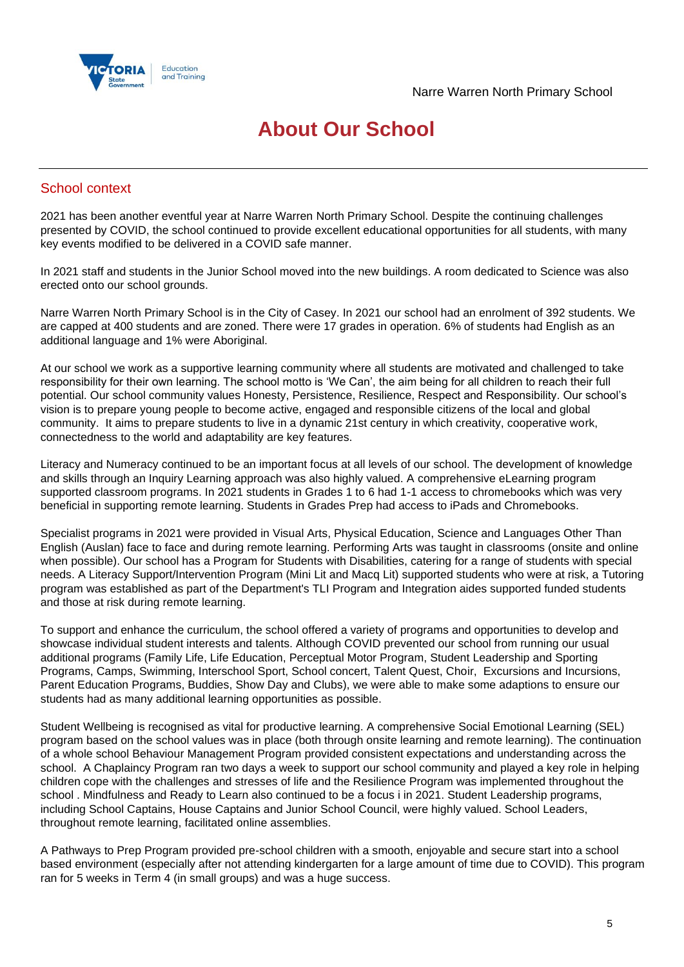

## **About Our School**

## School context

2021 has been another eventful year at Narre Warren North Primary School. Despite the continuing challenges presented by COVID, the school continued to provide excellent educational opportunities for all students, with many key events modified to be delivered in a COVID safe manner.

In 2021 staff and students in the Junior School moved into the new buildings. A room dedicated to Science was also erected onto our school grounds.

Narre Warren North Primary School is in the City of Casey. In 2021 our school had an enrolment of 392 students. We are capped at 400 students and are zoned. There were 17 grades in operation. 6% of students had English as an additional language and 1% were Aboriginal.

At our school we work as a supportive learning community where all students are motivated and challenged to take responsibility for their own learning. The school motto is 'We Can', the aim being for all children to reach their full potential. Our school community values Honesty, Persistence, Resilience, Respect and Responsibility. Our school's vision is to prepare young people to become active, engaged and responsible citizens of the local and global community. It aims to prepare students to live in a dynamic 21st century in which creativity, cooperative work, connectedness to the world and adaptability are key features.

Literacy and Numeracy continued to be an important focus at all levels of our school. The development of knowledge and skills through an Inquiry Learning approach was also highly valued. A comprehensive eLearning program supported classroom programs. In 2021 students in Grades 1 to 6 had 1-1 access to chromebooks which was very beneficial in supporting remote learning. Students in Grades Prep had access to iPads and Chromebooks.

Specialist programs in 2021 were provided in Visual Arts, Physical Education, Science and Languages Other Than English (Auslan) face to face and during remote learning. Performing Arts was taught in classrooms (onsite and online when possible). Our school has a Program for Students with Disabilities, catering for a range of students with special needs. A Literacy Support/Intervention Program (Mini Lit and Macq Lit) supported students who were at risk, a Tutoring program was established as part of the Department's TLI Program and Integration aides supported funded students and those at risk during remote learning.

To support and enhance the curriculum, the school offered a variety of programs and opportunities to develop and showcase individual student interests and talents. Although COVID prevented our school from running our usual additional programs (Family Life, Life Education, Perceptual Motor Program, Student Leadership and Sporting Programs, Camps, Swimming, Interschool Sport, School concert, Talent Quest, Choir, Excursions and Incursions, Parent Education Programs, Buddies, Show Day and Clubs), we were able to make some adaptions to ensure our students had as many additional learning opportunities as possible.

Student Wellbeing is recognised as vital for productive learning. A comprehensive Social Emotional Learning (SEL) program based on the school values was in place (both through onsite learning and remote learning). The continuation of a whole school Behaviour Management Program provided consistent expectations and understanding across the school. A Chaplaincy Program ran two days a week to support our school community and played a key role in helping children cope with the challenges and stresses of life and the Resilience Program was implemented throughout the school . Mindfulness and Ready to Learn also continued to be a focus i in 2021. Student Leadership programs, including School Captains, House Captains and Junior School Council, were highly valued. School Leaders, throughout remote learning, facilitated online assemblies.

A Pathways to Prep Program provided pre-school children with a smooth, enjoyable and secure start into a school based environment (especially after not attending kindergarten for a large amount of time due to COVID). This program ran for 5 weeks in Term 4 (in small groups) and was a huge success.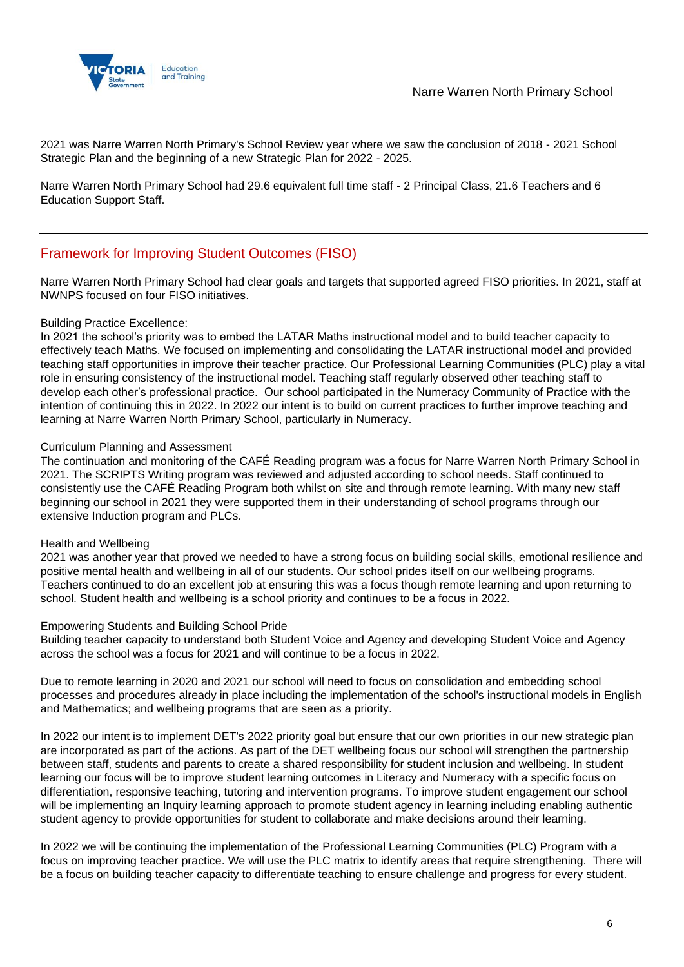

2021 was Narre Warren North Primary's School Review year where we saw the conclusion of 2018 - 2021 School Strategic Plan and the beginning of a new Strategic Plan for 2022 - 2025.

Narre Warren North Primary School had 29.6 equivalent full time staff - 2 Principal Class, 21.6 Teachers and 6 Education Support Staff.

## Framework for Improving Student Outcomes (FISO)

Narre Warren North Primary School had clear goals and targets that supported agreed FISO priorities. In 2021, staff at NWNPS focused on four FISO initiatives.

#### Building Practice Excellence:

In 2021 the school's priority was to embed the LATAR Maths instructional model and to build teacher capacity to effectively teach Maths. We focused on implementing and consolidating the LATAR instructional model and provided teaching staff opportunities in improve their teacher practice. Our Professional Learning Communities (PLC) play a vital role in ensuring consistency of the instructional model. Teaching staff regularly observed other teaching staff to develop each other's professional practice. Our school participated in the Numeracy Community of Practice with the intention of continuing this in 2022. In 2022 our intent is to build on current practices to further improve teaching and learning at Narre Warren North Primary School, particularly in Numeracy.

#### Curriculum Planning and Assessment

The continuation and monitoring of the CAFÉ Reading program was a focus for Narre Warren North Primary School in 2021. The SCRIPTS Writing program was reviewed and adjusted according to school needs. Staff continued to consistently use the CAFÉ Reading Program both whilst on site and through remote learning. With many new staff beginning our school in 2021 they were supported them in their understanding of school programs through our extensive Induction program and PLCs.

#### Health and Wellbeing

2021 was another year that proved we needed to have a strong focus on building social skills, emotional resilience and positive mental health and wellbeing in all of our students. Our school prides itself on our wellbeing programs. Teachers continued to do an excellent job at ensuring this was a focus though remote learning and upon returning to school. Student health and wellbeing is a school priority and continues to be a focus in 2022.

#### Empowering Students and Building School Pride

Building teacher capacity to understand both Student Voice and Agency and developing Student Voice and Agency across the school was a focus for 2021 and will continue to be a focus in 2022.

Due to remote learning in 2020 and 2021 our school will need to focus on consolidation and embedding school processes and procedures already in place including the implementation of the school's instructional models in English and Mathematics; and wellbeing programs that are seen as a priority.

In 2022 our intent is to implement DET's 2022 priority goal but ensure that our own priorities in our new strategic plan are incorporated as part of the actions. As part of the DET wellbeing focus our school will strengthen the partnership between staff, students and parents to create a shared responsibility for student inclusion and wellbeing. In student learning our focus will be to improve student learning outcomes in Literacy and Numeracy with a specific focus on differentiation, responsive teaching, tutoring and intervention programs. To improve student engagement our school will be implementing an Inquiry learning approach to promote student agency in learning including enabling authentic student agency to provide opportunities for student to collaborate and make decisions around their learning.

In 2022 we will be continuing the implementation of the Professional Learning Communities (PLC) Program with a focus on improving teacher practice. We will use the PLC matrix to identify areas that require strengthening. There will be a focus on building teacher capacity to differentiate teaching to ensure challenge and progress for every student.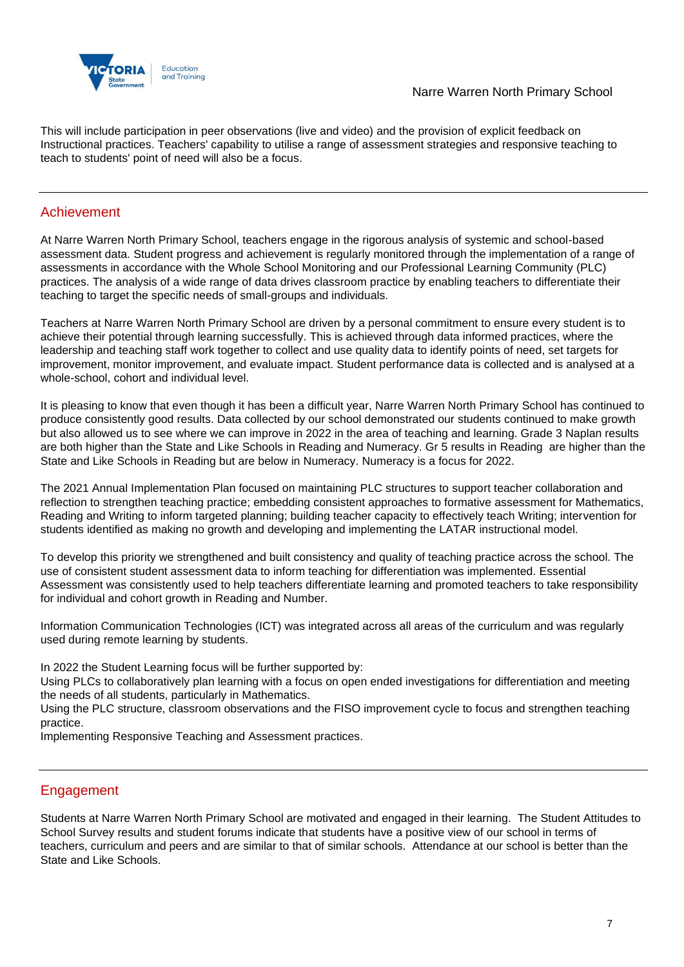

This will include participation in peer observations (live and video) and the provision of explicit feedback on Instructional practices. Teachers' capability to utilise a range of assessment strategies and responsive teaching to teach to students' point of need will also be a focus.

## Achievement

At Narre Warren North Primary School, teachers engage in the rigorous analysis of systemic and school-based assessment data. Student progress and achievement is regularly monitored through the implementation of a range of assessments in accordance with the Whole School Monitoring and our Professional Learning Community (PLC) practices. The analysis of a wide range of data drives classroom practice by enabling teachers to differentiate their teaching to target the specific needs of small-groups and individuals.

Teachers at Narre Warren North Primary School are driven by a personal commitment to ensure every student is to achieve their potential through learning successfully. This is achieved through data informed practices, where the leadership and teaching staff work together to collect and use quality data to identify points of need, set targets for improvement, monitor improvement, and evaluate impact. Student performance data is collected and is analysed at a whole-school, cohort and individual level.

It is pleasing to know that even though it has been a difficult year, Narre Warren North Primary School has continued to produce consistently good results. Data collected by our school demonstrated our students continued to make growth but also allowed us to see where we can improve in 2022 in the area of teaching and learning. Grade 3 Naplan results are both higher than the State and Like Schools in Reading and Numeracy. Gr 5 results in Reading are higher than the State and Like Schools in Reading but are below in Numeracy. Numeracy is a focus for 2022.

The 2021 Annual Implementation Plan focused on maintaining PLC structures to support teacher collaboration and reflection to strengthen teaching practice; embedding consistent approaches to formative assessment for Mathematics, Reading and Writing to inform targeted planning; building teacher capacity to effectively teach Writing; intervention for students identified as making no growth and developing and implementing the LATAR instructional model.

To develop this priority we strengthened and built consistency and quality of teaching practice across the school. The use of consistent student assessment data to inform teaching for differentiation was implemented. Essential Assessment was consistently used to help teachers differentiate learning and promoted teachers to take responsibility for individual and cohort growth in Reading and Number.

Information Communication Technologies (ICT) was integrated across all areas of the curriculum and was regularly used during remote learning by students.

In 2022 the Student Learning focus will be further supported by:

Using PLCs to collaboratively plan learning with a focus on open ended investigations for differentiation and meeting the needs of all students, particularly in Mathematics.

Using the PLC structure, classroom observations and the FISO improvement cycle to focus and strengthen teaching practice.

Implementing Responsive Teaching and Assessment practices.

## Engagement

Students at Narre Warren North Primary School are motivated and engaged in their learning. The Student Attitudes to School Survey results and student forums indicate that students have a positive view of our school in terms of teachers, curriculum and peers and are similar to that of similar schools. Attendance at our school is better than the State and Like Schools.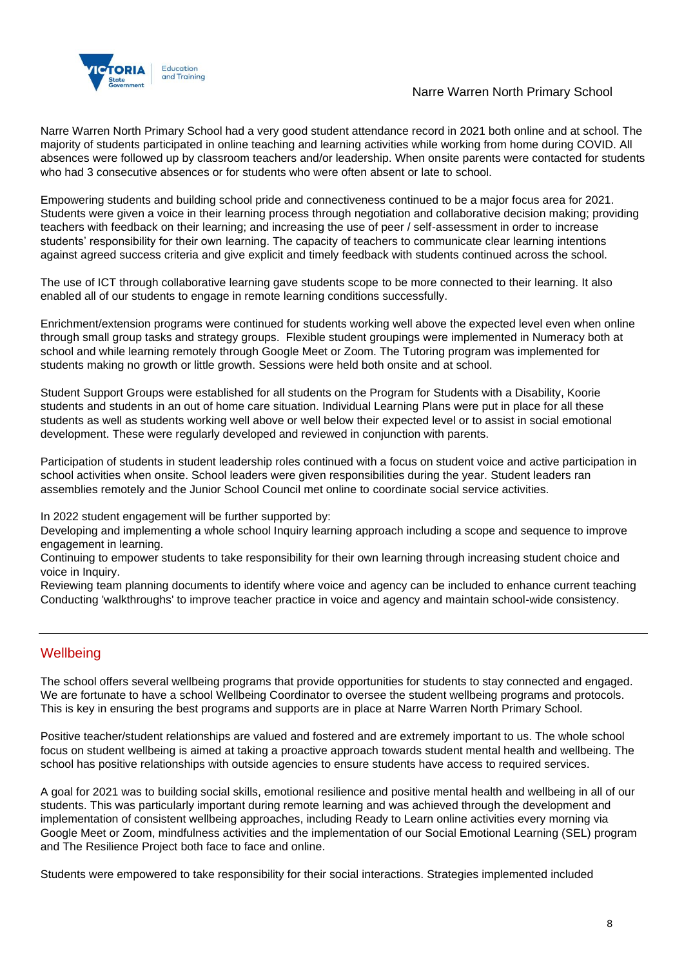

## Narre Warren North Primary School

Narre Warren North Primary School had a very good student attendance record in 2021 both online and at school. The majority of students participated in online teaching and learning activities while working from home during COVID. All absences were followed up by classroom teachers and/or leadership. When onsite parents were contacted for students who had 3 consecutive absences or for students who were often absent or late to school.

Empowering students and building school pride and connectiveness continued to be a major focus area for 2021. Students were given a voice in their learning process through negotiation and collaborative decision making; providing teachers with feedback on their learning; and increasing the use of peer / self-assessment in order to increase students' responsibility for their own learning. The capacity of teachers to communicate clear learning intentions against agreed success criteria and give explicit and timely feedback with students continued across the school.

The use of ICT through collaborative learning gave students scope to be more connected to their learning. It also enabled all of our students to engage in remote learning conditions successfully.

Enrichment/extension programs were continued for students working well above the expected level even when online through small group tasks and strategy groups. Flexible student groupings were implemented in Numeracy both at school and while learning remotely through Google Meet or Zoom. The Tutoring program was implemented for students making no growth or little growth. Sessions were held both onsite and at school.

Student Support Groups were established for all students on the Program for Students with a Disability, Koorie students and students in an out of home care situation. Individual Learning Plans were put in place for all these students as well as students working well above or well below their expected level or to assist in social emotional development. These were regularly developed and reviewed in conjunction with parents.

Participation of students in student leadership roles continued with a focus on student voice and active participation in school activities when onsite. School leaders were given responsibilities during the year. Student leaders ran assemblies remotely and the Junior School Council met online to coordinate social service activities.

In 2022 student engagement will be further supported by:

Developing and implementing a whole school Inquiry learning approach including a scope and sequence to improve engagement in learning.

Continuing to empower students to take responsibility for their own learning through increasing student choice and voice in Inquiry.

Reviewing team planning documents to identify where voice and agency can be included to enhance current teaching Conducting 'walkthroughs' to improve teacher practice in voice and agency and maintain school-wide consistency.

## **Wellbeing**

The school offers several wellbeing programs that provide opportunities for students to stay connected and engaged. We are fortunate to have a school Wellbeing Coordinator to oversee the student wellbeing programs and protocols. This is key in ensuring the best programs and supports are in place at Narre Warren North Primary School.

Positive teacher/student relationships are valued and fostered and are extremely important to us. The whole school focus on student wellbeing is aimed at taking a proactive approach towards student mental health and wellbeing. The school has positive relationships with outside agencies to ensure students have access to required services.

A goal for 2021 was to building social skills, emotional resilience and positive mental health and wellbeing in all of our students. This was particularly important during remote learning and was achieved through the development and implementation of consistent wellbeing approaches, including Ready to Learn online activities every morning via Google Meet or Zoom, mindfulness activities and the implementation of our Social Emotional Learning (SEL) program and The Resilience Project both face to face and online.

Students were empowered to take responsibility for their social interactions. Strategies implemented included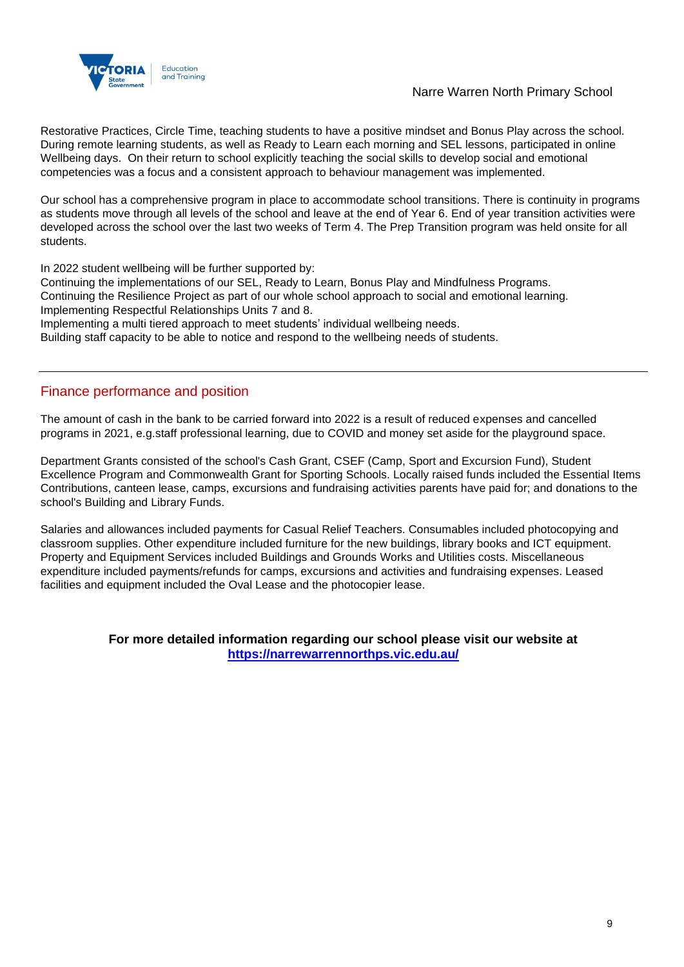

### Narre Warren North Primary School

Restorative Practices, Circle Time, teaching students to have a positive mindset and Bonus Play across the school. During remote learning students, as well as Ready to Learn each morning and SEL lessons, participated in online Wellbeing days. On their return to school explicitly teaching the social skills to develop social and emotional competencies was a focus and a consistent approach to behaviour management was implemented.

Our school has a comprehensive program in place to accommodate school transitions. There is continuity in programs as students move through all levels of the school and leave at the end of Year 6. End of year transition activities were developed across the school over the last two weeks of Term 4. The Prep Transition program was held onsite for all students.

In 2022 student wellbeing will be further supported by:

Continuing the implementations of our SEL, Ready to Learn, Bonus Play and Mindfulness Programs. Continuing the Resilience Project as part of our whole school approach to social and emotional learning. Implementing Respectful Relationships Units 7 and 8. Implementing a multi tiered approach to meet students' individual wellbeing needs.

Building staff capacity to be able to notice and respond to the wellbeing needs of students.

## Finance performance and position

The amount of cash in the bank to be carried forward into 2022 is a result of reduced expenses and cancelled programs in 2021, e.g.staff professional learning, due to COVID and money set aside for the playground space.

Department Grants consisted of the school's Cash Grant, CSEF (Camp, Sport and Excursion Fund), Student Excellence Program and Commonwealth Grant for Sporting Schools. Locally raised funds included the Essential Items Contributions, canteen lease, camps, excursions and fundraising activities parents have paid for; and donations to the school's Building and Library Funds.

Salaries and allowances included payments for Casual Relief Teachers. Consumables included photocopying and classroom supplies. Other expenditure included furniture for the new buildings, library books and ICT equipment. Property and Equipment Services included Buildings and Grounds Works and Utilities costs. Miscellaneous expenditure included payments/refunds for camps, excursions and activities and fundraising expenses. Leased facilities and equipment included the Oval Lease and the photocopier lease.

#### **For more detailed information regarding our school please visit our website at <https://narrewarrennorthps.vic.edu.au/>**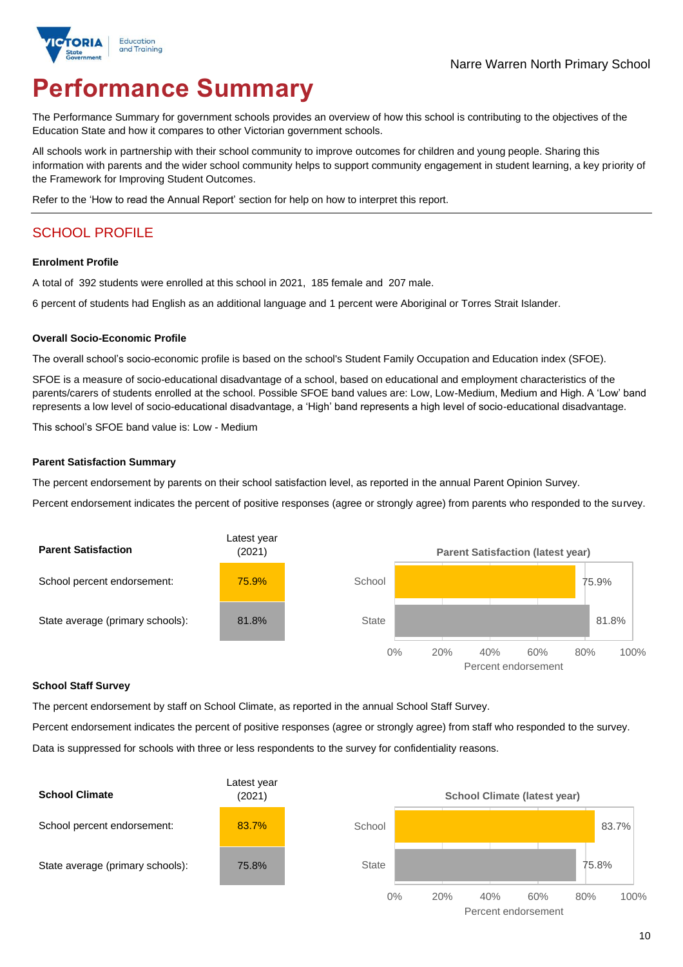

# **Performance Summary**

The Performance Summary for government schools provides an overview of how this school is contributing to the objectives of the Education State and how it compares to other Victorian government schools.

All schools work in partnership with their school community to improve outcomes for children and young people. Sharing this information with parents and the wider school community helps to support community engagement in student learning, a key priority of the Framework for Improving Student Outcomes.

Refer to the 'How to read the Annual Report' section for help on how to interpret this report.

## SCHOOL PROFILE

#### **Enrolment Profile**

A total of 392 students were enrolled at this school in 2021, 185 female and 207 male.

6 percent of students had English as an additional language and 1 percent were Aboriginal or Torres Strait Islander.

#### **Overall Socio-Economic Profile**

The overall school's socio-economic profile is based on the school's Student Family Occupation and Education index (SFOE).

SFOE is a measure of socio-educational disadvantage of a school, based on educational and employment characteristics of the parents/carers of students enrolled at the school. Possible SFOE band values are: Low, Low-Medium, Medium and High. A 'Low' band represents a low level of socio-educational disadvantage, a 'High' band represents a high level of socio-educational disadvantage.

This school's SFOE band value is: Low - Medium

#### **Parent Satisfaction Summary**

The percent endorsement by parents on their school satisfaction level, as reported in the annual Parent Opinion Survey.

Percent endorsement indicates the percent of positive responses (agree or strongly agree) from parents who responded to the survey.



#### **School Staff Survey**

The percent endorsement by staff on School Climate, as reported in the annual School Staff Survey.

Percent endorsement indicates the percent of positive responses (agree or strongly agree) from staff who responded to the survey. Data is suppressed for schools with three or less respondents to the survey for confidentiality reasons.

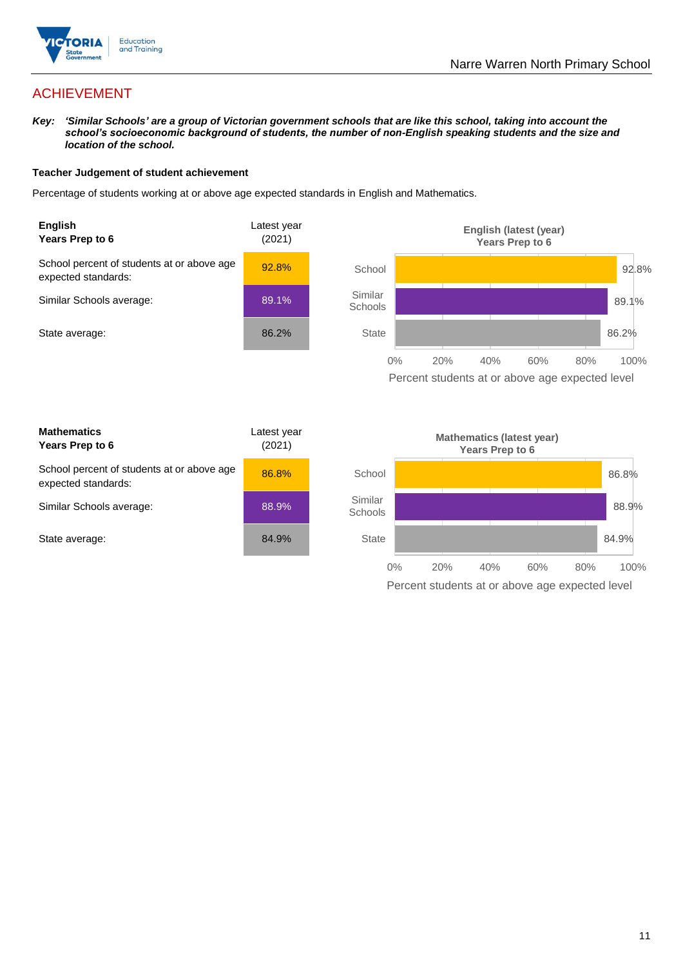

## ACHIEVEMENT

*Key: 'Similar Schools' are a group of Victorian government schools that are like this school, taking into account the school's socioeconomic background of students, the number of non-English speaking students and the size and location of the school.*

#### **Teacher Judgement of student achievement**

Percentage of students working at or above age expected standards in English and Mathematics.



Percent students at or above age expected level

| <b>Mathematics</b><br>Years Prep to 6                             | Latest year<br>(2021) |
|-------------------------------------------------------------------|-----------------------|
| School percent of students at or above age<br>expected standards: | 86.8%                 |
| Similar Schools average:                                          | 88.9%                 |
| State average:                                                    | 84.9%                 |

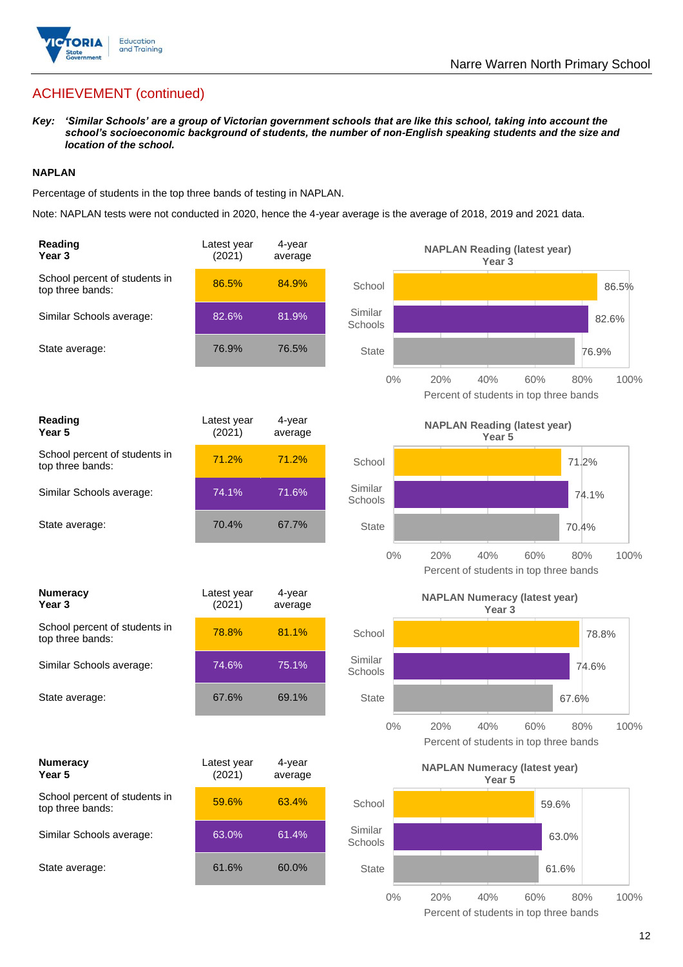

## ACHIEVEMENT (continued)

*Key: 'Similar Schools' are a group of Victorian government schools that are like this school, taking into account the school's socioeconomic background of students, the number of non-English speaking students and the size and location of the school.*

#### **NAPLAN**

Percentage of students in the top three bands of testing in NAPLAN.

Note: NAPLAN tests were not conducted in 2020, hence the 4-year average is the average of 2018, 2019 and 2021 data.

| Reading<br>Year <sub>3</sub>                      | Latest year<br>(2021) | 4-year<br>average |                    | <b>NAPLAN Reading (latest year)</b><br>Year <sub>3</sub>                   |
|---------------------------------------------------|-----------------------|-------------------|--------------------|----------------------------------------------------------------------------|
| School percent of students in<br>top three bands: | 86.5%                 | 84.9%             | School             | 86.5%                                                                      |
| Similar Schools average:                          | 82.6%                 | 81.9%             | Similar<br>Schools | 82.6%                                                                      |
| State average:                                    | 76.9%                 | 76.5%             | <b>State</b>       | 76.9%                                                                      |
|                                                   |                       |                   | $0\%$              | 20%<br>40%<br>60%<br>80%<br>100%<br>Percent of students in top three bands |
| <b>Reading</b><br>Year 5                          | Latest year<br>(2021) | 4-year<br>average |                    | <b>NAPLAN Reading (latest year)</b><br>Year 5                              |
| School percent of students in<br>top three bands: | 71.2%                 | 71.2%             | School             | 71.2%                                                                      |
| Similar Schools average:                          | 74.1%                 | 71.6%             | Similar<br>Schools | 74.1%                                                                      |
| State average:                                    | 70.4%                 | 67.7%             | <b>State</b>       | 70.4%                                                                      |
|                                                   |                       |                   | $0\%$              | 20%<br>40%<br>60%<br>100%<br>80%<br>Percent of students in top three bands |
| <b>Numeracy</b><br>Year 3                         | Latest year<br>(2021) | 4-year<br>average |                    | <b>NAPLAN Numeracy (latest year)</b><br>Year <sub>3</sub>                  |
| School percent of students in<br>top three bands: | 78.8%                 | 81.1%             | School             | 78.8%                                                                      |
| Similar Schools average:                          | 74.6%                 | 75.1%             | Similar<br>Schools | 74.6%                                                                      |
| State average:                                    | 67.6%                 | 69.1%             | <b>State</b>       | 67.6%                                                                      |
|                                                   |                       |                   | $0\%$              | 20%<br>40%<br>60%<br>80%<br>100%<br>Percent of students in top three bands |
| <b>Numeracy</b><br>Year 5                         | Latest year<br>(2021) | 4-year<br>average |                    | <b>NAPLAN Numeracy (latest year)</b><br>Year 5                             |
| School percent of students in<br>top three bands: | 59.6%                 | 63.4%             | School             | 59.6%                                                                      |
| Similar Schools average:                          | 63.0%                 | 61.4%             | Similar<br>Schools | 63.0%                                                                      |
| State average:                                    | 61.6%                 | 60.0%             | State              | 61.6%                                                                      |
|                                                   |                       |                   | $0\%$              | 20%<br>40%<br>60%<br>80%<br>100%                                           |

Percent of students in top three bands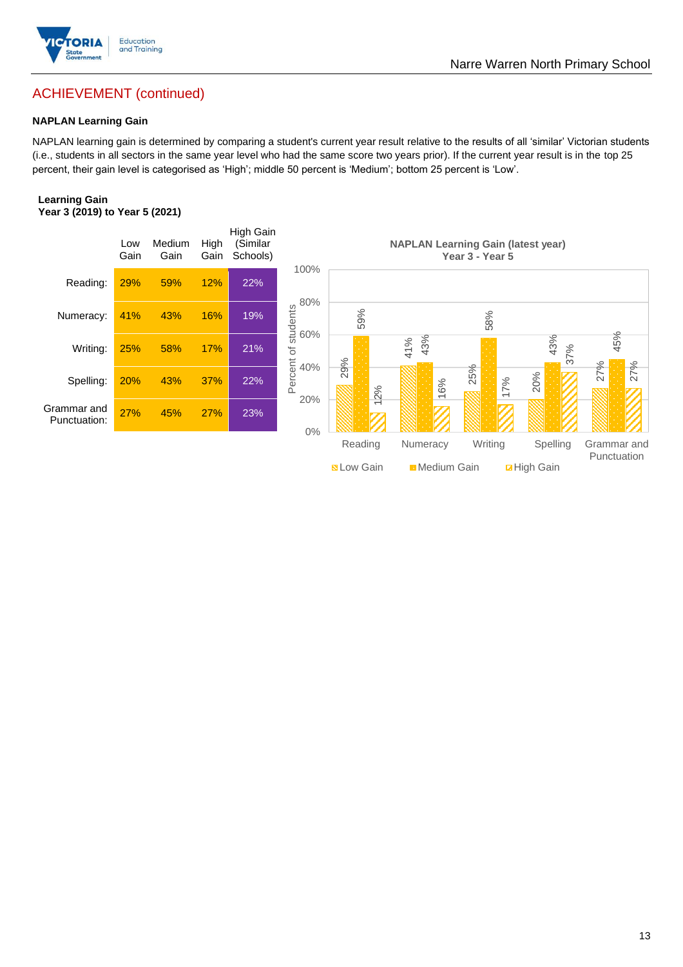

## Narre Warren North Primary School

## ACHIEVEMENT (continued)

#### **NAPLAN Learning Gain**

NAPLAN learning gain is determined by comparing a student's current year result relative to the results of all 'similar' Victorian students (i.e., students in all sectors in the same year level who had the same score two years prior). If the current year result is in the top 25 percent, their gain level is categorised as 'High'; middle 50 percent is 'Medium'; bottom 25 percent is 'Low'.

#### **Learning Gain Year 3 (2019) to Year 5 (2021)**

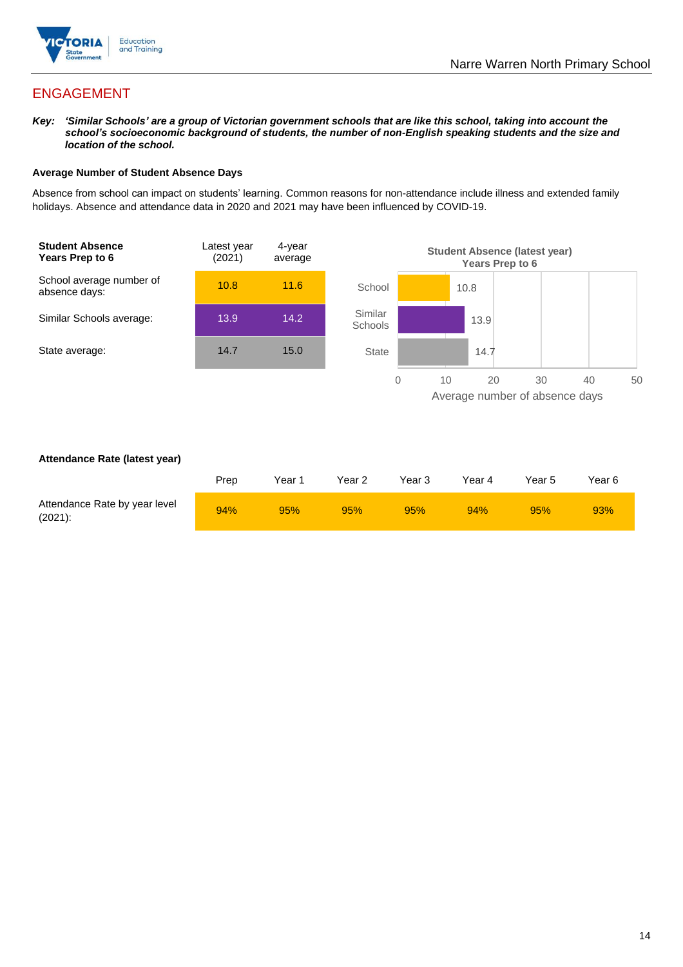

## ENGAGEMENT

*Key: 'Similar Schools' are a group of Victorian government schools that are like this school, taking into account the school's socioeconomic background of students, the number of non-English speaking students and the size and location of the school.*

#### **Average Number of Student Absence Days**

Absence from school can impact on students' learning. Common reasons for non-attendance include illness and extended family holidays. Absence and attendance data in 2020 and 2021 may have been influenced by COVID-19.



#### **Attendance Rate (latest year)**

|                                             | Prep | Year 1 | Year 2 | Year 3 | Year 4 | Year 5 | Year 6 |
|---------------------------------------------|------|--------|--------|--------|--------|--------|--------|
| Attendance Rate by year level<br>$(2021)$ : | 94%  | 95%    | 95%    | 95%    | 94%    | 95%    | 93%    |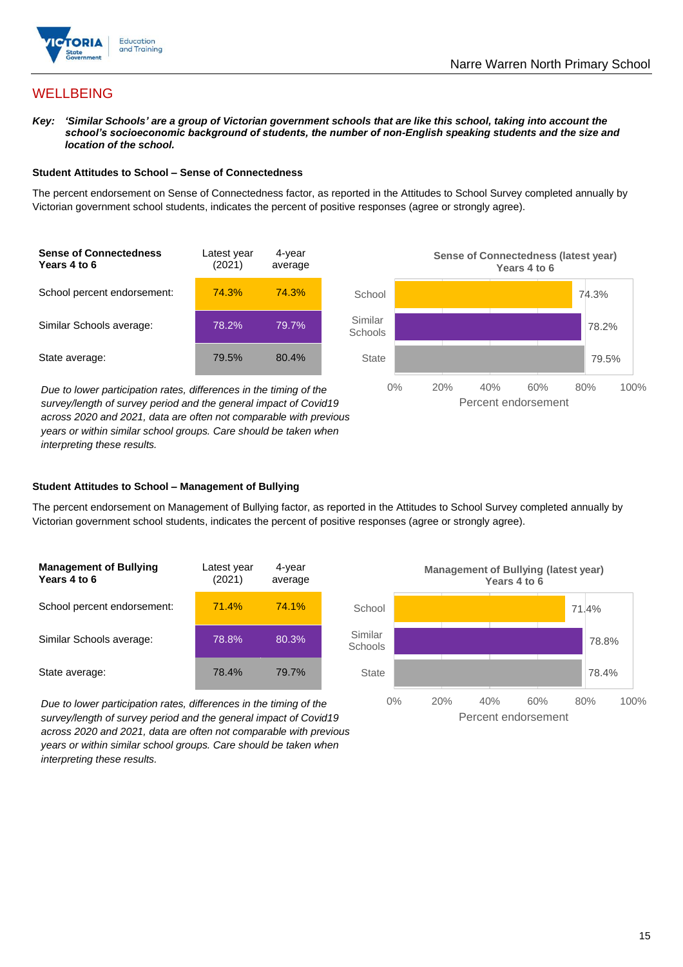

## **WELLBEING**

*Key: 'Similar Schools' are a group of Victorian government schools that are like this school, taking into account the school's socioeconomic background of students, the number of non-English speaking students and the size and location of the school.*

#### **Student Attitudes to School – Sense of Connectedness**

The percent endorsement on Sense of Connectedness factor, as reported in the Attitudes to School Survey completed annually by Victorian government school students, indicates the percent of positive responses (agree or strongly agree).



*Due to lower participation rates, differences in the timing of the survey/length of survey period and the general impact of Covid19 across 2020 and 2021, data are often not comparable with previous years or within similar school groups. Care should be taken when interpreting these results.*



#### **Student Attitudes to School – Management of Bullying**

The percent endorsement on Management of Bullying factor, as reported in the Attitudes to School Survey completed annually by Victorian government school students, indicates the percent of positive responses (agree or strongly agree).

| <b>Management of Bullying</b><br>Years 4 to 6 | Latest year<br>(2021) | 4-year<br>average |  |
|-----------------------------------------------|-----------------------|-------------------|--|
| School percent endorsement:                   | 71.4%                 | 74.1%             |  |
| Similar Schools average:                      | 78.8%                 | 80.3%             |  |
| State average:                                | 78.4%                 | 79.7%             |  |

*Due to lower participation rates, differences in the timing of the survey/length of survey period and the general impact of Covid19 across 2020 and 2021, data are often not comparable with previous years or within similar school groups. Care should be taken when interpreting these results.*

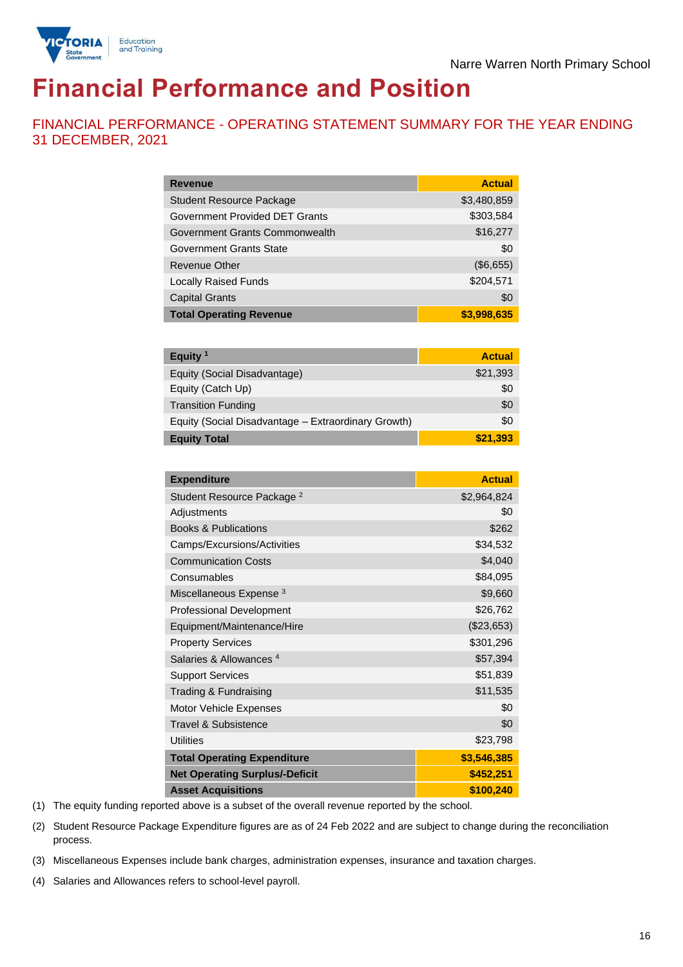



# **Financial Performance and Position**

FINANCIAL PERFORMANCE - OPERATING STATEMENT SUMMARY FOR THE YEAR ENDING 31 DECEMBER, 2021

| <b>Revenue</b>                  | <b>Actual</b> |
|---------------------------------|---------------|
| <b>Student Resource Package</b> | \$3,480,859   |
| Government Provided DET Grants  | \$303,584     |
| Government Grants Commonwealth  | \$16,277      |
| Government Grants State         | \$0           |
| Revenue Other                   | (\$6,655)     |
| <b>Locally Raised Funds</b>     | \$204,571     |
| <b>Capital Grants</b>           | \$0           |
| <b>Total Operating Revenue</b>  | \$3,998,635   |

| Equity $1$                                          | <b>Actual</b> |
|-----------------------------------------------------|---------------|
| Equity (Social Disadvantage)                        | \$21,393      |
| Equity (Catch Up)                                   | \$0           |
| <b>Transition Funding</b>                           | \$0           |
| Equity (Social Disadvantage - Extraordinary Growth) | \$0           |
| <b>Equity Total</b>                                 | \$21,393      |

| <b>Expenditure</b>                    | <b>Actual</b> |
|---------------------------------------|---------------|
| Student Resource Package <sup>2</sup> | \$2,964,824   |
| Adjustments                           | \$0           |
| <b>Books &amp; Publications</b>       | \$262         |
| Camps/Excursions/Activities           | \$34,532      |
| <b>Communication Costs</b>            | \$4,040       |
| Consumables                           | \$84,095      |
| Miscellaneous Expense <sup>3</sup>    | \$9,660       |
| <b>Professional Development</b>       | \$26,762      |
| Equipment/Maintenance/Hire            | (\$23,653)    |
| <b>Property Services</b>              | \$301,296     |
| Salaries & Allowances <sup>4</sup>    | \$57,394      |
| <b>Support Services</b>               | \$51,839      |
| Trading & Fundraising                 | \$11,535      |
| Motor Vehicle Expenses                | \$0           |
| Travel & Subsistence                  | \$0           |
| <b>Utilities</b>                      | \$23,798      |
| <b>Total Operating Expenditure</b>    | \$3,546,385   |
| <b>Net Operating Surplus/-Deficit</b> | \$452,251     |
| <b>Asset Acquisitions</b>             | \$100,240     |

(1) The equity funding reported above is a subset of the overall revenue reported by the school.

(2) Student Resource Package Expenditure figures are as of 24 Feb 2022 and are subject to change during the reconciliation process.

(3) Miscellaneous Expenses include bank charges, administration expenses, insurance and taxation charges.

(4) Salaries and Allowances refers to school-level payroll.